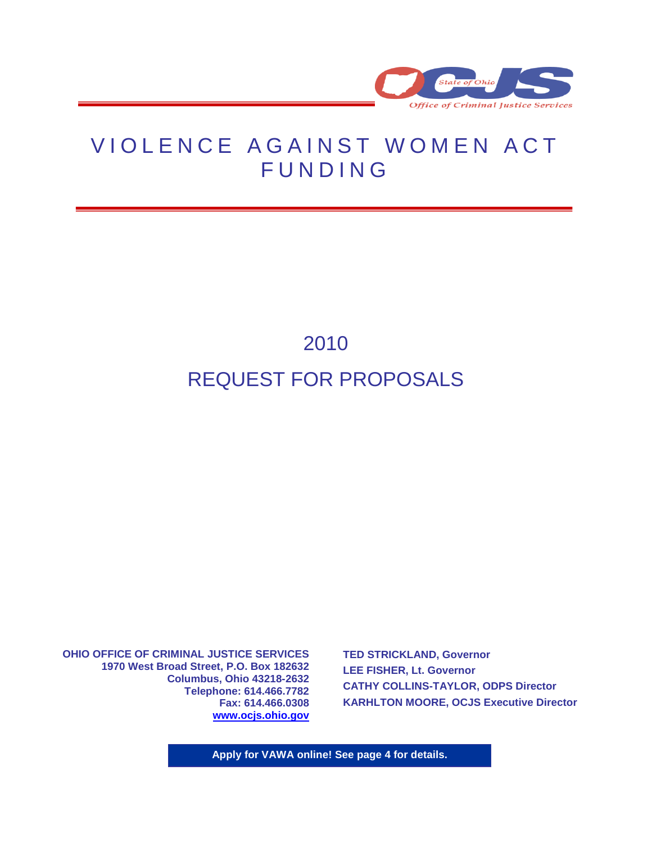

## VIOLENCE AGAINST WOMEN ACT **FUNDING**

# 2010 REQUEST FOR PROPOSALS

**OHIO OFFICE OF CRIMINAL JUSTICE SERVICES 1970 West Broad Street, P.O. Box 182632 Columbus, Ohio 43218-2632 Telephone: 614.466.7782 Fax: 614.466.0308 [www.ocjs.ohio.gov](http://www.publicsafety.ohio.gov/odps_ocjs)**

**TED STRICKLAND, Governor LEE FISHER, Lt. Governor CATHY COLLINS-TAYLOR, ODPS Director KARHLTON MOORE, OCJS Executive Director**

**Apply for VAWA online! See page 4 for details.**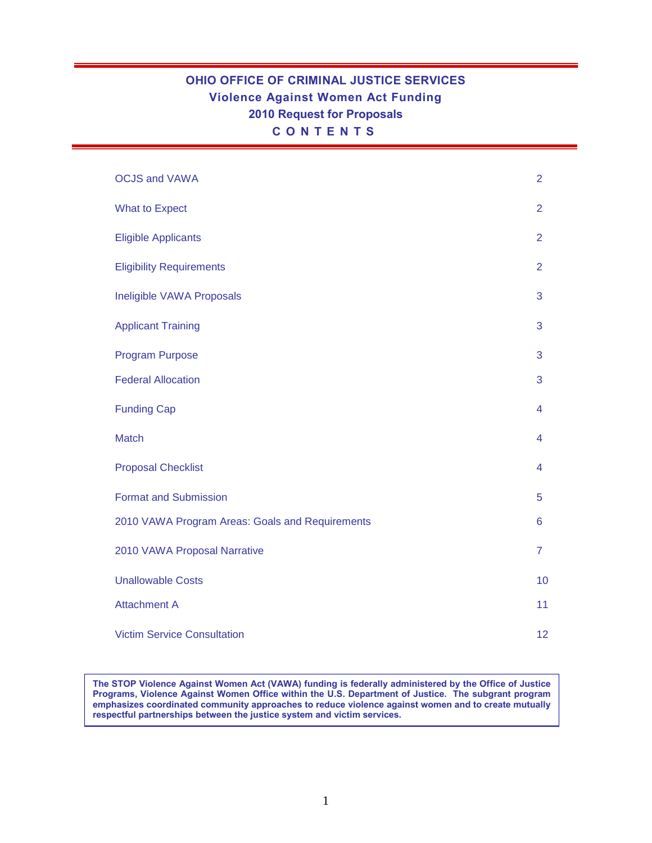## **OHIO OFFICE OF CRIMINAL JUSTICE SERVICES Violence Against Women Act Funding 2010 Request for Proposals C O N T E N T S**

| <b>OCJS and VAWA</b>                            | $\overline{2}$          |
|-------------------------------------------------|-------------------------|
| <b>What to Expect</b>                           | $\overline{2}$          |
| <b>Eligible Applicants</b>                      | $\overline{2}$          |
| <b>Eligibility Requirements</b>                 | $\overline{2}$          |
| Ineligible VAWA Proposals                       | 3                       |
| <b>Applicant Training</b>                       | 3                       |
| <b>Program Purpose</b>                          | 3                       |
| <b>Federal Allocation</b>                       | 3                       |
| <b>Funding Cap</b>                              | $\overline{\mathbf{4}}$ |
| <b>Match</b>                                    | 4                       |
| <b>Proposal Checklist</b>                       | $\overline{\mathbf{4}}$ |
| <b>Format and Submission</b>                    | 5                       |
| 2010 VAWA Program Areas: Goals and Requirements | 6                       |
| 2010 VAWA Proposal Narrative                    | $\overline{7}$          |
| <b>Unallowable Costs</b>                        | 10                      |
| <b>Attachment A</b>                             | 11                      |
| <b>Victim Service Consultation</b>              | 12                      |

**The STOP Violence Against Women Act (VAWA) funding is federally administered by the Office of Justice Programs, Violence Against Women Office within the U.S. Department of Justice. The subgrant program emphasizes coordinated community approaches to reduce violence against women and to create mutually respectful partnerships between the justice system and victim services.**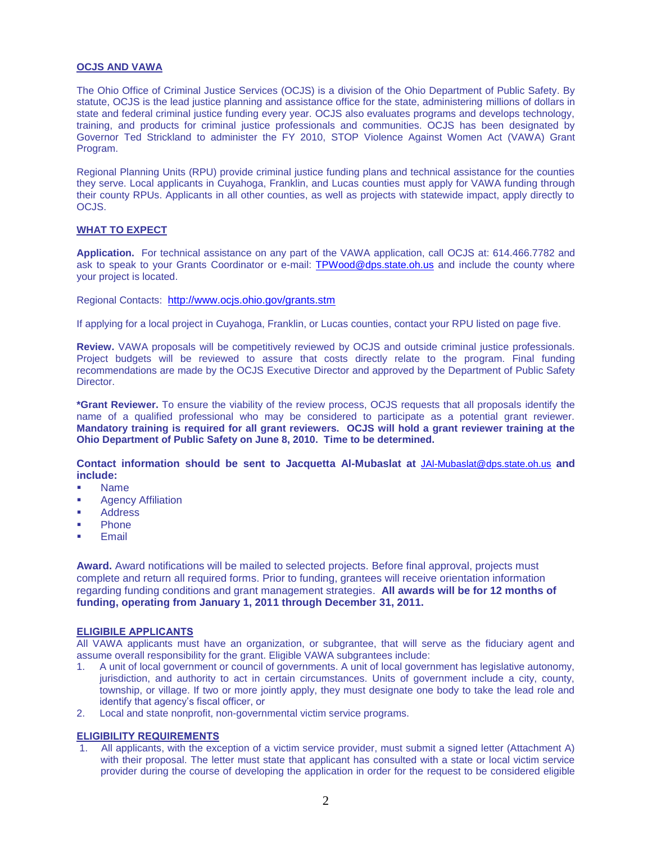#### **OCJS AND VAWA**

The Ohio Office of Criminal Justice Services (OCJS) is a division of the Ohio Department of Public Safety. By statute, OCJS is the lead justice planning and assistance office for the state, administering millions of dollars in state and federal criminal justice funding every year. OCJS also evaluates programs and develops technology, training, and products for criminal justice professionals and communities. OCJS has been designated by Governor Ted Strickland to administer the FY 2010, STOP Violence Against Women Act (VAWA) Grant Program.

Regional Planning Units (RPU) provide criminal justice funding plans and technical assistance for the counties they serve. Local applicants in Cuyahoga, Franklin, and Lucas counties must apply for VAWA funding through their county RPUs. Applicants in all other counties, as well as projects with statewide impact, apply directly to OCJS.

#### **WHAT TO EXPECT**

**Application.** For technical assistance on any part of the VAWA application, call OCJS at: 614.466.7782 and ask to speak to your Grants Coordinator or e-mail: [TPWood@dps.state.oh.us](mailto:TPWood@dps.state.oh.us) and include the county where your project is located.

Regional Contacts: <http://www.ocjs.ohio.gov/grants.stm>

If applying for a local project in Cuyahoga, Franklin, or Lucas counties, contact your RPU listed on page five.

**Review.** VAWA proposals will be competitively reviewed by OCJS and outside criminal justice professionals. Project budgets will be reviewed to assure that costs directly relate to the program. Final funding recommendations are made by the OCJS Executive Director and approved by the Department of Public Safety Director.

**\*Grant Reviewer.** To ensure the viability of the review process, OCJS requests that all proposals identify the name of a qualified professional who may be considered to participate as a potential grant reviewer. **Mandatory training is required for all grant reviewers. OCJS will hold a grant reviewer training at the Ohio Department of Public Safety on June 8, 2010. Time to be determined.** 

**Contact information should be sent to Jacquetta Al-Mubaslat at** [JAl-Mubaslat@dps.state.oh.us](mailto:JAl-Mubaslat@dps.state.oh.us) **and include:**

- Name
- Agency Affiliation
- **Address**
- Phone
- Email

**Award.** Award notifications will be mailed to selected projects. Before final approval, projects must complete and return all required forms. Prior to funding, grantees will receive orientation information regarding funding conditions and grant management strategies. **All awards will be for 12 months of funding, operating from January 1, 2011 through December 31, 2011.**

#### **ELIGIBILE APPLICANTS**

All VAWA applicants must have an organization, or subgrantee, that will serve as the fiduciary agent and assume overall responsibility for the grant. Eligible VAWA subgrantees include:

- 1. A unit of local government or council of governments. A unit of local government has legislative autonomy, jurisdiction, and authority to act in certain circumstances. Units of government include a city, county, township, or village. If two or more jointly apply, they must designate one body to take the lead role and identify that agency's fiscal officer, or
- 2. Local and state nonprofit, non-governmental victim service programs.

#### **ELIGIBILITY REQUIREMENTS**

1. All applicants, with the exception of a victim service provider, must submit a signed letter (Attachment A) with their proposal. The letter must state that applicant has consulted with a state or local victim service provider during the course of developing the application in order for the request to be considered eligible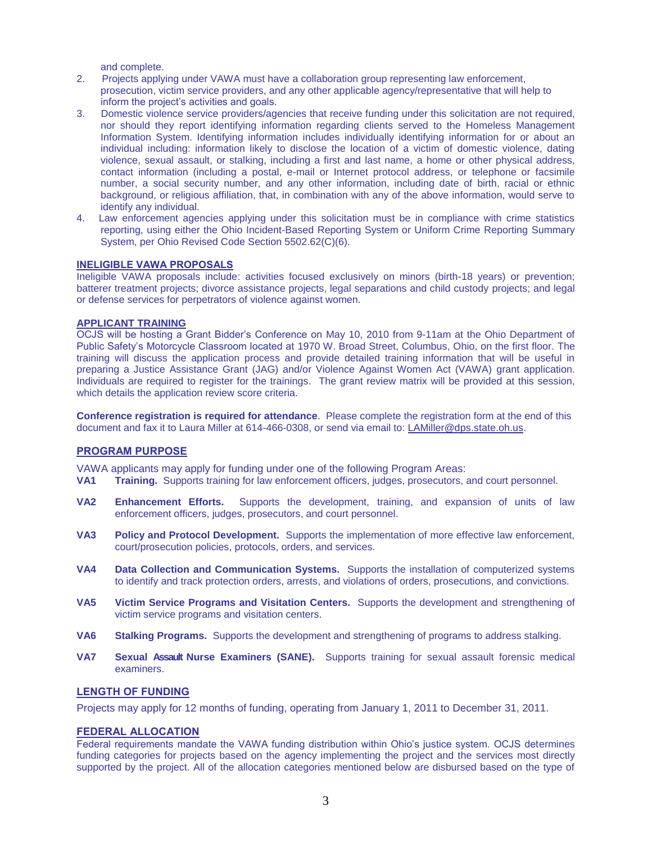and complete.

- 2. Projects applying under VAWA must have a collaboration group representing law enforcement, prosecution, victim service providers, and any other applicable agency/representative that will help to inform the project's activities and goals.
- 3. Domestic violence service providers/agencies that receive funding under this solicitation are not required, nor should they report identifying information regarding clients served to the Homeless Management Information System. Identifying information includes individually identifying information for or about an individual including: information likely to disclose the location of a victim of domestic violence, dating violence, sexual assault, or stalking, including a first and last name, a home or other physical address, contact information (including a postal, e-mail or Internet protocol address, or telephone or facsimile number, a social security number, and any other information, including date of birth, racial or ethnic background, or religious affiliation, that, in combination with any of the above information, would serve to identify any individual.
- 4. Law enforcement agencies applying under this solicitation must be in compliance with crime statistics reporting, using either the Ohio Incident-Based Reporting System or Uniform Crime Reporting Summary System, per Ohio Revised Code Section 5502.62(C)(6).

### **INELIGIBLE VAWA PROPOSALS**

Ineligible VAWA proposals include: activities focused exclusively on minors (birth-18 years) or prevention; batterer treatment projects; divorce assistance projects, legal separations and child custody projects; and legal or defense services for perpetrators of violence against women.

#### **APPLICANT TRAINING**

OCJS will be hosting a Grant Bidder's Conference on May 10, 2010 from 9-11am at the Ohio Department of Public Safety's Motorcycle Classroom located at 1970 W. Broad Street, Columbus, Ohio, on the first floor. The training will discuss the application process and provide detailed training information that will be useful in preparing a Justice Assistance Grant (JAG) and/or Violence Against Women Act (VAWA) grant application. Individuals are required to register for the trainings. The grant review matrix will be provided at this session, which details the application review score criteria.

**Conference registration is required for attendance**. Please complete the registration form at the end of this document and fax it to Laura Miller at 614-466-0308, or send via email to: [LAMiller@dps.state.oh.us.](mailto:LAMiller@dps.state.oh.us)

#### **PROGRAM PURPOSE**

VAWA applicants may apply for funding under one of the following Program Areas:

- **VA1 Training.** Supports training for law enforcement officers, judges, prosecutors, and court personnel.
- **VA2 Enhancement Efforts.** Supports the development, training, and expansion of units of law enforcement officers, judges, prosecutors, and court personnel.
- **VA3 Policy and Protocol Development.** Supports the implementation of more effective law enforcement, court/prosecution policies, protocols, orders, and services.
- **VA4 Data Collection and Communication Systems.** Supports the installation of computerized systems to identify and track protection orders, arrests, and violations of orders, prosecutions, and convictions.
- **VA5 Victim Service Programs and Visitation Centers.** Supports the development and strengthening of victim service programs and visitation centers.
- **VA6 Stalking Programs.** Supports the development and strengthening of programs to address stalking.
- **VA7 Sexual Assault Nurse Examiners (SANE).** Supports training for sexual assault forensic medical examiners.

### **LENGTH OF FUNDING**

Projects may apply for 12 months of funding, operating from January 1, 2011 to December 31, 2011.

#### **FEDERAL ALLOCATION**

Federal requirements mandate the VAWA funding distribution within Ohio's justice system. OCJS determines funding categories for projects based on the agency implementing the project and the services most directly supported by the project. All of the allocation categories mentioned below are disbursed based on the type of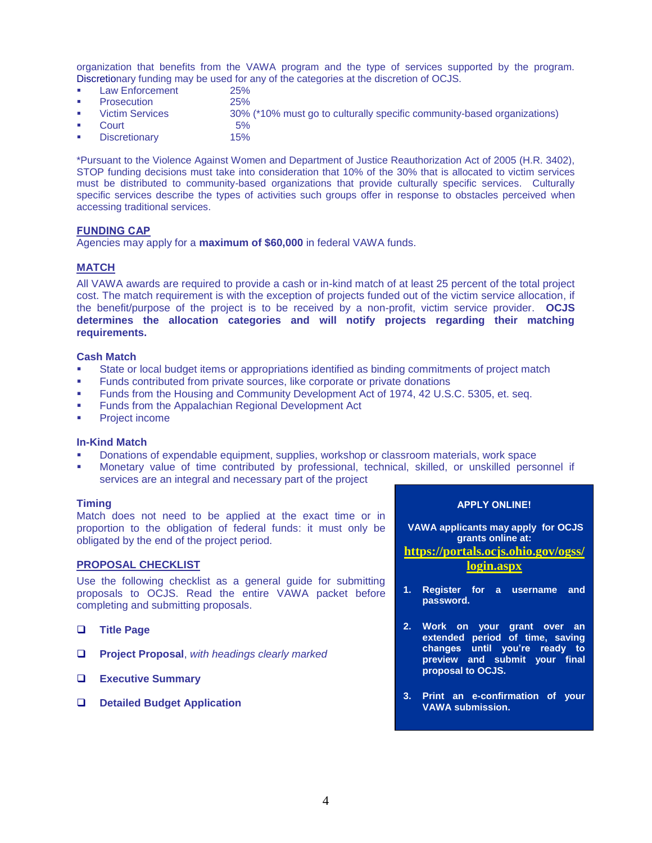organization that benefits from the VAWA program and the type of services supported by the program. Discretionary funding may be used for any of the categories at the discretion of OCJS.

- Law Enforcement 25%
- Prosecution 25%
- Victim Services 30% (\*10% must go to culturally specific community-based organizations)
- Court 5%
- Discretionary 15%

\*Pursuant to the Violence Against Women and Department of Justice Reauthorization Act of 2005 (H.R. 3402), STOP funding decisions must take into consideration that 10% of the 30% that is allocated to victim services must be distributed to community-based organizations that provide culturally specific services. Culturally specific services describe the types of activities such groups offer in response to obstacles perceived when accessing traditional services.

#### **FUNDING CAP**

Agencies may apply for a **maximum of \$60,000** in federal VAWA funds.

#### **MATCH**

All VAWA awards are required to provide a cash or in-kind match of at least 25 percent of the total project cost. The match requirement is with the exception of projects funded out of the victim service allocation, if the benefit/purpose of the project is to be received by a non-profit, victim service provider. **OCJS determines the allocation categories and will notify projects regarding their matching requirements.**

#### **Cash Match**

- State or local budget items or appropriations identified as binding commitments of project match
- Funds contributed from private sources, like corporate or private donations
- Funds from the Housing and Community Development Act of 1974, 42 U.S.C. 5305, et. seq.
- Funds from the Appalachian Regional Development Act
- **•** Project income

#### **In-Kind Match**

- Donations of expendable equipment, supplies, workshop or classroom materials, work space
- Monetary value of time contributed by professional, technical, skilled, or unskilled personnel if services are an integral and necessary part of the project

#### **Timing**

Match does not need to be applied at the exact time or in proportion to the obligation of federal funds: it must only be obligated by the end of the project period.

#### **PROPOSAL CHECKLIST**

Use the following checklist as a general guide for submitting proposals to OCJS. Read the entire VAWA packet before completing and submitting proposals.

- **Title Page**
- **Project Proposal**, *with headings clearly marked*
- **Executive Summary**
- **Detailed Budget Application**

**APPLY ONLINE!**

**VAWA applicants may apply for OCJS grants online at:**

**[https://portals.ocjs.ohio.gov/ogss/](https://portals.ocjs.ohio.gov/ogss/login.aspx) [login.aspx](https://portals.ocjs.ohio.gov/ogss/login.aspx)** 

- **1. Register for a username and password.**
- **2. Work on your grant over an extended period of time, saving changes until you're ready to preview and submit your final proposal to OCJS.**
- **3. Print an e-confirmation of your VAWA submission.**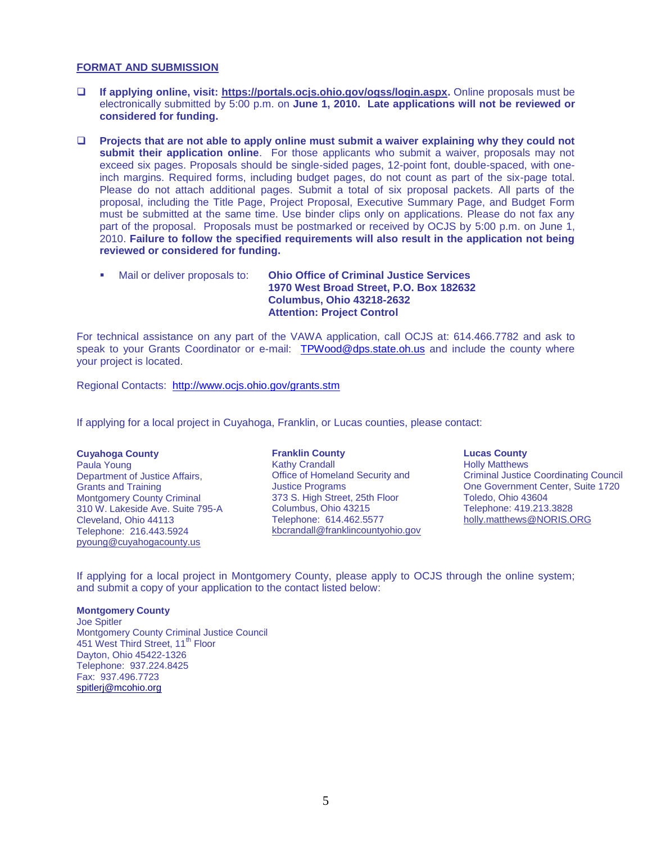#### **FORMAT AND SUBMISSION**

- **If applying online, visit: [https://portals.ocjs.ohio.gov/ogss/login.aspx.](https://portals.ocjs.ohio.gov/ogss/login.aspx)** Online proposals must be electronically submitted by 5:00 p.m. on **June 1, 2010. Late applications will not be reviewed or considered for funding.**
- **Projects that are not able to apply online must submit a waiver explaining why they could not submit their application online**. For those applicants who submit a waiver, proposals may not exceed six pages. Proposals should be single-sided pages, 12-point font, double-spaced, with oneinch margins. Required forms, including budget pages, do not count as part of the six-page total. Please do not attach additional pages. Submit a total of six proposal packets. All parts of the proposal, including the Title Page, Project Proposal, Executive Summary Page, and Budget Form must be submitted at the same time. Use binder clips only on applications. Please do not fax any part of the proposal. Proposals must be postmarked or received by OCJS by 5:00 p.m. on June 1, 2010. **Failure to follow the specified requirements will also result in the application not being reviewed or considered for funding.**
	- Mail or deliver proposals to: **Ohio Office of Criminal Justice Services 1970 West Broad Street, P.O. Box 182632 Columbus, Ohio 43218-2632 Attention: Project Control**

For technical assistance on any part of the VAWA application, call OCJS at: 614.466.7782 and ask to speak to your Grants Coordinator or e-mail: [TPWood@dps.state.oh.us](mailto:TPWood@dps.state.oh.us) and include the county where your project is located.

Regional Contacts: <http://www.ocjs.ohio.gov/grants.stm>

If applying for a local project in Cuyahoga, Franklin, or Lucas counties, please contact:

**Cuyahoga County** Paula Young **Communist Communist Communist Communist Communist Communist Communist Communist Communist Communist Communist Communist Communist Communist Communist Communist Communist Communist Communist Communist Communist** Department of Justice Affairs, Grants and Training Montgomery County Criminal 310 W. Lakeside Ave. Suite 795-A Cleveland, Ohio 44113 Telephone: 216.443.5924 [pyoung@cuyahogacounty.us](mailto:mnewman@cuyahogacounty.us)

## **Franklin County** Office of Homeland Security and Justice Programs 373 S. High Street, 25th Floor Columbus, Ohio 43215 Telephone: 614.462.5577 [kbcrandall@franklincountyohio.gov](mailto:kbcrandall@franklincountyohio.gov)

#### **Lucas County**

Holly Matthews Criminal Justice Coordinating Council One Government Center, Suite 1720 Toledo, Ohio 43604 Telephone: 419.213.3828 [holly.matthews@NORIS.ORG](mailto:holly.matthews@NORIS.ORG) 

If applying for a local project in Montgomery County, please apply to OCJS through the online system; and submit a copy of your application to the contact listed below:

#### **Montgomery County**

Joe Spitler Montgomery County Criminal Justice Council 451 West Third Street, 11<sup>th</sup> Floor Dayton, Ohio 45422-1326 Telephone: 937.224.8425 Fax: 937.496.7723 [spitlerj@mcohio.org](mailto:spitlerj@mcohio.org)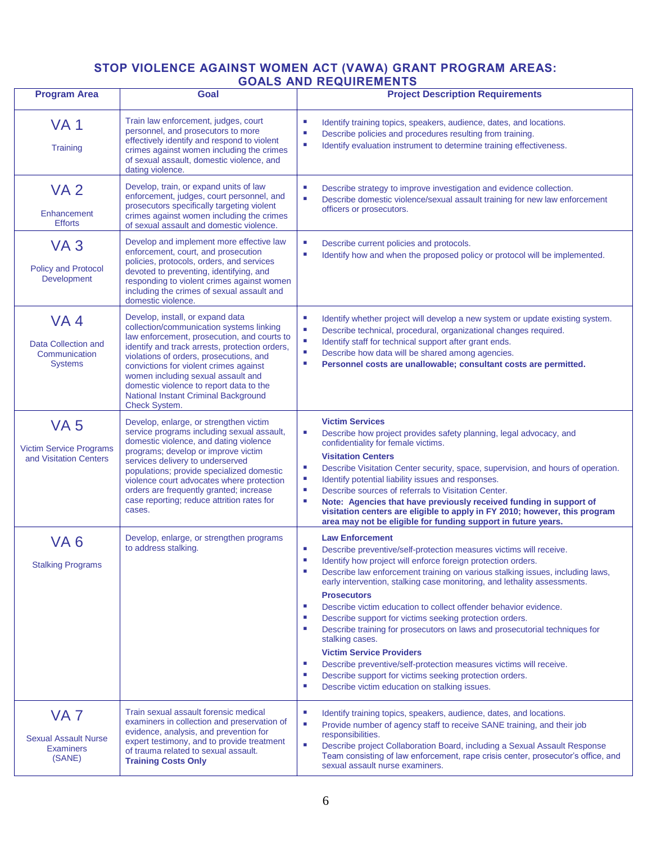## **STOP VIOLENCE AGAINST WOMEN ACT (VAWA) GRANT PROGRAM AREAS: GOALS AND REQUIREMENTS**

| <b>Program Area</b>                                                          | Goal                                                                                                                                                                                                                                                                                                                                                                                                                | <b>Project Description Requirements</b>                                                                                                                                                                                                                                                                                                                                                                                                                                                                                                                                                                                                                                                                                                                                                                                                           |  |  |
|------------------------------------------------------------------------------|---------------------------------------------------------------------------------------------------------------------------------------------------------------------------------------------------------------------------------------------------------------------------------------------------------------------------------------------------------------------------------------------------------------------|---------------------------------------------------------------------------------------------------------------------------------------------------------------------------------------------------------------------------------------------------------------------------------------------------------------------------------------------------------------------------------------------------------------------------------------------------------------------------------------------------------------------------------------------------------------------------------------------------------------------------------------------------------------------------------------------------------------------------------------------------------------------------------------------------------------------------------------------------|--|--|
| <b>VA1</b><br>Training                                                       | Train law enforcement, judges, court<br>personnel, and prosecutors to more<br>effectively identify and respond to violent<br>crimes against women including the crimes<br>of sexual assault, domestic violence, and<br>dating violence.                                                                                                                                                                             | L.<br>Identify training topics, speakers, audience, dates, and locations.<br>Ű.<br>Describe policies and procedures resulting from training.<br>L.<br>Identify evaluation instrument to determine training effectiveness.                                                                                                                                                                                                                                                                                                                                                                                                                                                                                                                                                                                                                         |  |  |
| <b>VA2</b><br>Enhancement<br><b>Efforts</b>                                  | Develop, train, or expand units of law<br>enforcement, judges, court personnel, and<br>prosecutors specifically targeting violent<br>crimes against women including the crimes<br>of sexual assault and domestic violence.                                                                                                                                                                                          | L.<br>Describe strategy to improve investigation and evidence collection.<br>Ű.<br>Describe domestic violence/sexual assault training for new law enforcement<br>officers or prosecutors.                                                                                                                                                                                                                                                                                                                                                                                                                                                                                                                                                                                                                                                         |  |  |
| VA <sub>3</sub><br><b>Policy and Protocol</b><br>Development                 | Develop and implement more effective law<br>enforcement, court, and prosecution<br>policies, protocols, orders, and services<br>devoted to preventing, identifying, and<br>responding to violent crimes against women<br>including the crimes of sexual assault and<br>domestic violence.                                                                                                                           | ш<br>Describe current policies and protocols.<br>L.<br>Identify how and when the proposed policy or protocol will be implemented.                                                                                                                                                                                                                                                                                                                                                                                                                                                                                                                                                                                                                                                                                                                 |  |  |
| VA <sub>4</sub><br>Data Collection and<br>Communication<br><b>Systems</b>    | Develop, install, or expand data<br>collection/communication systems linking<br>law enforcement, prosecution, and courts to<br>identify and track arrests, protection orders,<br>violations of orders, prosecutions, and<br>convictions for violent crimes against<br>women including sexual assault and<br>domestic violence to report data to the<br>National Instant Criminal Background<br><b>Check System.</b> | I.<br>Identify whether project will develop a new system or update existing system.<br>Ű.<br>Describe technical, procedural, organizational changes required.<br>u,<br>Identify staff for technical support after grant ends.<br>u,<br>Describe how data will be shared among agencies.<br>Personnel costs are unallowable; consultant costs are permitted.<br>ш                                                                                                                                                                                                                                                                                                                                                                                                                                                                                  |  |  |
| <b>VA 5</b><br><b>Victim Service Programs</b><br>and Visitation Centers      | Develop, enlarge, or strengthen victim<br>service programs including sexual assault,<br>domestic violence, and dating violence<br>programs; develop or improve victim<br>services delivery to underserved<br>populations; provide specialized domestic<br>violence court advocates where protection<br>orders are frequently granted; increase<br>case reporting; reduce attrition rates for<br>cases.              | <b>Victim Services</b><br>Describe how project provides safety planning, legal advocacy, and<br>L.<br>confidentiality for female victims.<br><b>Visitation Centers</b><br>L.<br>Describe Visitation Center security, space, supervision, and hours of operation.<br>Identify potential liability issues and responses.<br>L.<br>L.<br>Describe sources of referrals to Visitation Center.<br>Note: Agencies that have previously received funding in support of<br>visitation centers are eligible to apply in FY 2010; however, this program<br>area may not be eligible for funding support in future years.                                                                                                                                                                                                                                    |  |  |
| VA <sub>6</sub><br><b>Stalking Programs</b>                                  | Develop, enlarge, or strengthen programs<br>to address stalking.                                                                                                                                                                                                                                                                                                                                                    | <b>Law Enforcement</b><br>Describe preventive/self-protection measures victims will receive.<br>ш<br>Identify how project will enforce foreign protection orders.<br>п<br>Describe law enforcement training on various stalking issues, including laws,<br>early intervention, stalking case monitoring, and lethality assessments.<br><b>Prosecutors</b><br>Describe victim education to collect offender behavior evidence.<br>×.<br>Describe support for victims seeking protection orders.<br>×.<br>Describe training for prosecutors on laws and prosecutorial techniques for<br>×.<br>stalking cases.<br><b>Victim Service Providers</b><br>ш<br>Describe preventive/self-protection measures victims will receive.<br>Describe support for victims seeking protection orders.<br>×.<br>Describe victim education on stalking issues.<br>×. |  |  |
| VA <sub>7</sub><br><b>Sexual Assault Nurse</b><br><b>Examiners</b><br>(SANE) | Train sexual assault forensic medical<br>examiners in collection and preservation of<br>evidence, analysis, and prevention for<br>expert testimony, and to provide treatment<br>of trauma related to sexual assault.<br><b>Training Costs Only</b>                                                                                                                                                                  | L.<br>Identify training topics, speakers, audience, dates, and locations.<br>Provide number of agency staff to receive SANE training, and their job<br>ш<br>responsibilities.<br>L.<br>Describe project Collaboration Board, including a Sexual Assault Response<br>Team consisting of law enforcement, rape crisis center, prosecutor's office, and<br>sexual assault nurse examiners.                                                                                                                                                                                                                                                                                                                                                                                                                                                           |  |  |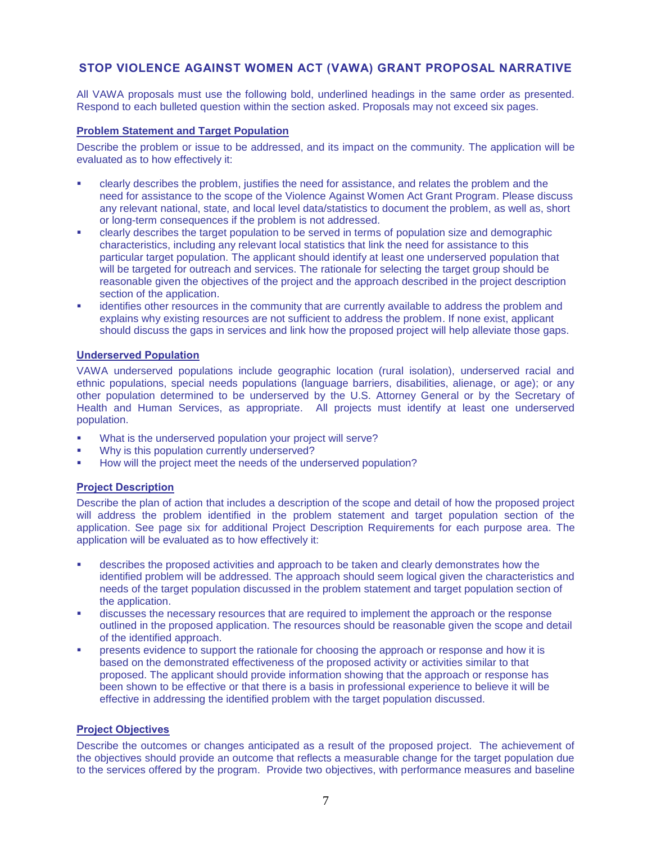## **STOP VIOLENCE AGAINST WOMEN ACT (VAWA) GRANT PROPOSAL NARRATIVE**

All VAWA proposals must use the following bold, underlined headings in the same order as presented. Respond to each bulleted question within the section asked. Proposals may not exceed six pages.

#### **Problem Statement and Target Population**

Describe the problem or issue to be addressed, and its impact on the community. The application will be evaluated as to how effectively it:

- clearly describes the problem, justifies the need for assistance, and relates the problem and the need for assistance to the scope of the Violence Against Women Act Grant Program. Please discuss any relevant national, state, and local level data/statistics to document the problem, as well as, short or long-term consequences if the problem is not addressed.
- clearly describes the target population to be served in terms of population size and demographic characteristics, including any relevant local statistics that link the need for assistance to this particular target population. The applicant should identify at least one underserved population that will be targeted for outreach and services. The rationale for selecting the target group should be reasonable given the objectives of the project and the approach described in the project description section of the application.
- identifies other resources in the community that are currently available to address the problem and explains why existing resources are not sufficient to address the problem. If none exist, applicant should discuss the gaps in services and link how the proposed project will help alleviate those gaps.

#### **Underserved Population**

VAWA underserved populations include geographic location (rural isolation), underserved racial and ethnic populations, special needs populations (language barriers, disabilities, alienage, or age); or any other population determined to be underserved by the U.S. Attorney General or by the Secretary of Health and Human Services, as appropriate. All projects must identify at least one underserved population. 

- What is the underserved population your project will serve?
- Why is this population currently underserved?
- How will the project meet the needs of the underserved population?

#### **Project Description**

Describe the plan of action that includes a description of the scope and detail of how the proposed project will address the problem identified in the problem statement and target population section of the application. See page six for additional Project Description Requirements for each purpose area. The application will be evaluated as to how effectively it:

- describes the proposed activities and approach to be taken and clearly demonstrates how the identified problem will be addressed. The approach should seem logical given the characteristics and needs of the target population discussed in the problem statement and target population section of the application.
- discusses the necessary resources that are required to implement the approach or the response outlined in the proposed application. The resources should be reasonable given the scope and detail of the identified approach.
- presents evidence to support the rationale for choosing the approach or response and how it is based on the demonstrated effectiveness of the proposed activity or activities similar to that proposed. The applicant should provide information showing that the approach or response has been shown to be effective or that there is a basis in professional experience to believe it will be effective in addressing the identified problem with the target population discussed.

#### **Project Objectives**

Describe the outcomes or changes anticipated as a result of the proposed project. The achievement of the objectives should provide an outcome that reflects a measurable change for the target population due to the services offered by the program. Provide two objectives, with performance measures and baseline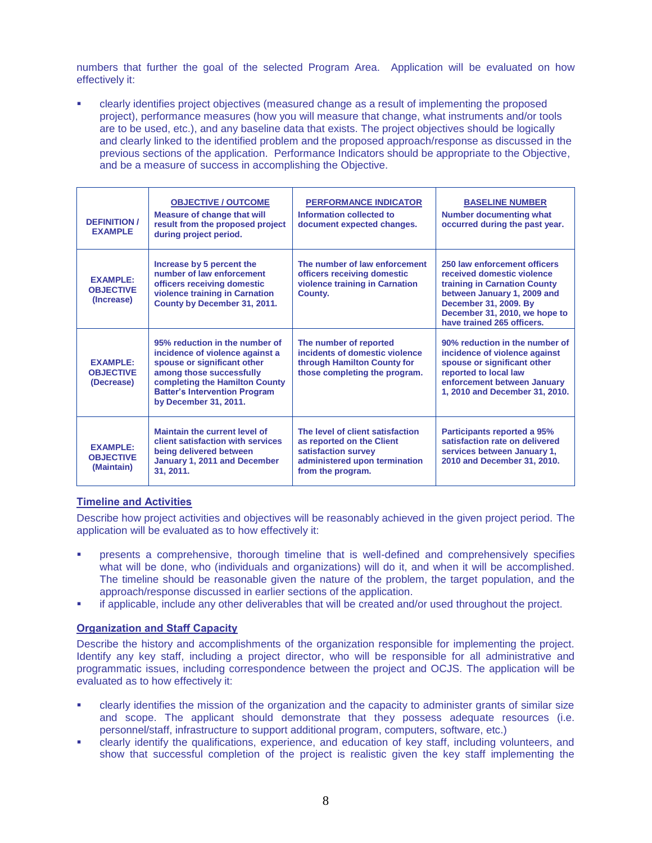numbers that further the goal of the selected Program Area. Application will be evaluated on how effectively it:

 clearly identifies project objectives (measured change as a result of implementing the proposed project), performance measures (how you will measure that change, what instruments and/or tools are to be used, etc.), and any baseline data that exists. The project objectives should be logically and clearly linked to the identified problem and the proposed approach/response as discussed in the previous sections of the application. Performance Indicators should be appropriate to the Objective, and be a measure of success in accomplishing the Objective.

| <b>DEFINITION /</b><br><b>EXAMPLE</b>             | <b>OBJECTIVE / OUTCOME</b><br><b>Measure of change that will</b><br>result from the proposed project<br>during project period.                                                                                                  | <b>PERFORMANCE INDICATOR</b><br>Information collected to<br>document expected changes.                                                     | <b>BASELINE NUMBER</b><br><b>Number documenting what</b><br>occurred during the past year.                                                                                                                        |
|---------------------------------------------------|---------------------------------------------------------------------------------------------------------------------------------------------------------------------------------------------------------------------------------|--------------------------------------------------------------------------------------------------------------------------------------------|-------------------------------------------------------------------------------------------------------------------------------------------------------------------------------------------------------------------|
| <b>EXAMPLE:</b><br><b>OBJECTIVE</b><br>(Increase) | Increase by 5 percent the<br>number of law enforcement<br>officers receiving domestic<br>violence training in Carnation<br>County by December 31, 2011.                                                                         | The number of law enforcement<br>officers receiving domestic<br>violence training in Carnation<br>County.                                  | 250 law enforcement officers<br>received domestic violence<br>training in Carnation County<br>between January 1, 2009 and<br>December 31, 2009. By<br>December 31, 2010, we hope to<br>have trained 265 officers. |
| <b>EXAMPLE:</b><br><b>OBJECTIVE</b><br>(Decrease) | 95% reduction in the number of<br>incidence of violence against a<br>spouse or significant other<br>among those successfully<br>completing the Hamilton County<br><b>Batter's Intervention Program</b><br>by December 31, 2011. | The number of reported<br>incidents of domestic violence<br>through Hamilton County for<br>those completing the program.                   | 90% reduction in the number of<br>incidence of violence against<br>spouse or significant other<br>reported to local law<br>enforcement between January<br>1, 2010 and December 31, 2010.                          |
| <b>FXAMPLE:</b><br><b>OBJECTIVE</b><br>(Maintain) | Maintain the current level of<br>client satisfaction with services<br>being delivered between<br>January 1, 2011 and December<br>31, 2011.                                                                                      | The level of client satisfaction<br>as reported on the Client<br>satisfaction survey<br>administered upon termination<br>from the program. | <b>Participants reported a 95%</b><br>satisfaction rate on delivered<br>services between January 1,<br>2010 and December 31, 2010.                                                                                |

#### **Timeline and Activities**

Describe how project activities and objectives will be reasonably achieved in the given project period. The application will be evaluated as to how effectively it:

- presents a comprehensive, thorough timeline that is well-defined and comprehensively specifies what will be done, who (individuals and organizations) will do it, and when it will be accomplished. The timeline should be reasonable given the nature of the problem, the target population, and the approach/response discussed in earlier sections of the application.
- if applicable, include any other deliverables that will be created and/or used throughout the project.

## **Organization and Staff Capacity**

Describe the history and accomplishments of the organization responsible for implementing the project. Identify any key staff, including a project director, who will be responsible for all administrative and programmatic issues, including correspondence between the project and OCJS. The application will be evaluated as to how effectively it:

- clearly identifies the mission of the organization and the capacity to administer grants of similar size and scope. The applicant should demonstrate that they possess adequate resources (i.e. personnel/staff, infrastructure to support additional program, computers, software, etc.)
- clearly identify the qualifications, experience, and education of key staff, including volunteers, and show that successful completion of the project is realistic given the key staff implementing the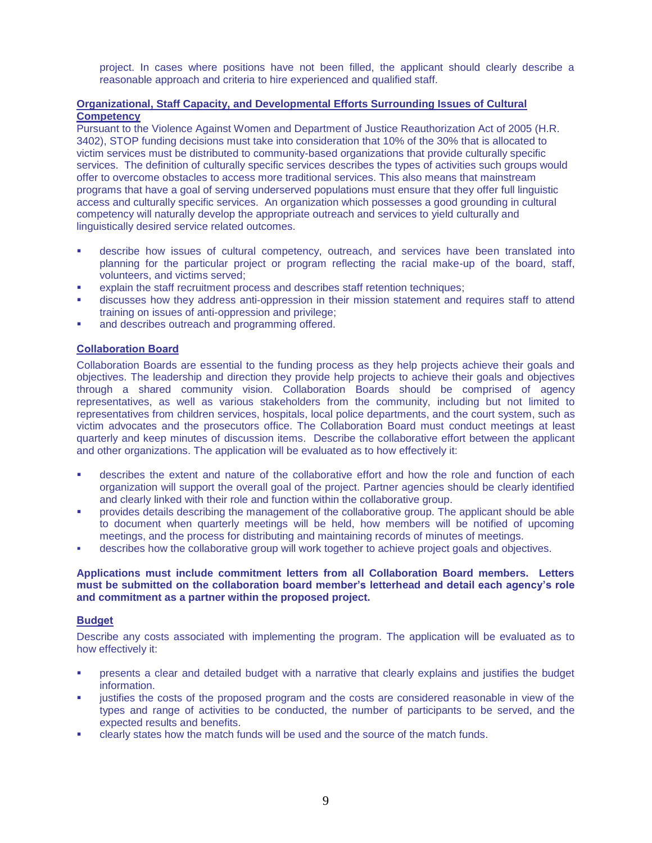project. In cases where positions have not been filled, the applicant should clearly describe a reasonable approach and criteria to hire experienced and qualified staff.

#### **Organizational, Staff Capacity, and Developmental Efforts Surrounding Issues of Cultural Competency**

Pursuant to the Violence Against Women and Department of Justice Reauthorization Act of 2005 (H.R. 3402), STOP funding decisions must take into consideration that 10% of the 30% that is allocated to victim services must be distributed to community-based organizations that provide culturally specific services. The definition of culturally specific services describes the types of activities such groups would offer to overcome obstacles to access more traditional services. This also means that mainstream programs that have a goal of serving underserved populations must ensure that they offer full linguistic access and culturally specific services. An organization which possesses a good grounding in cultural competency will naturally develop the appropriate outreach and services to yield culturally and linguistically desired service related outcomes.

- describe how issues of cultural competency, outreach, and services have been translated into planning for the particular project or program reflecting the racial make-up of the board, staff, volunteers, and victims served;
- explain the staff recruitment process and describes staff retention techniques;
- discusses how they address anti-oppression in their mission statement and requires staff to attend training on issues of anti-oppression and privilege;
- and describes outreach and programming offered.

## **Collaboration Board**

Collaboration Boards are essential to the funding process as they help projects achieve their goals and objectives. The leadership and direction they provide help projects to achieve their goals and objectives through a shared community vision. Collaboration Boards should be comprised of agency representatives, as well as various stakeholders from the community, including but not limited to representatives from children services, hospitals, local police departments, and the court system, such as victim advocates and the prosecutors office. The Collaboration Board must conduct meetings at least quarterly and keep minutes of discussion items. Describe the collaborative effort between the applicant and other organizations. The application will be evaluated as to how effectively it:

- describes the extent and nature of the collaborative effort and how the role and function of each organization will support the overall goal of the project. Partner agencies should be clearly identified and clearly linked with their role and function within the collaborative group.
- provides details describing the management of the collaborative group. The applicant should be able to document when quarterly meetings will be held, how members will be notified of upcoming meetings, and the process for distributing and maintaining records of minutes of meetings.
- describes how the collaborative group will work together to achieve project goals and objectives.

#### **Applications must include commitment letters from all Collaboration Board members. Letters must be submitted on the collaboration board member's letterhead and detail each agency's role and commitment as a partner within the proposed project.**

#### **Budget**

Describe any costs associated with implementing the program. The application will be evaluated as to how effectively it:

- presents a clear and detailed budget with a narrative that clearly explains and justifies the budget information.
- justifies the costs of the proposed program and the costs are considered reasonable in view of the types and range of activities to be conducted, the number of participants to be served, and the expected results and benefits.
- clearly states how the match funds will be used and the source of the match funds.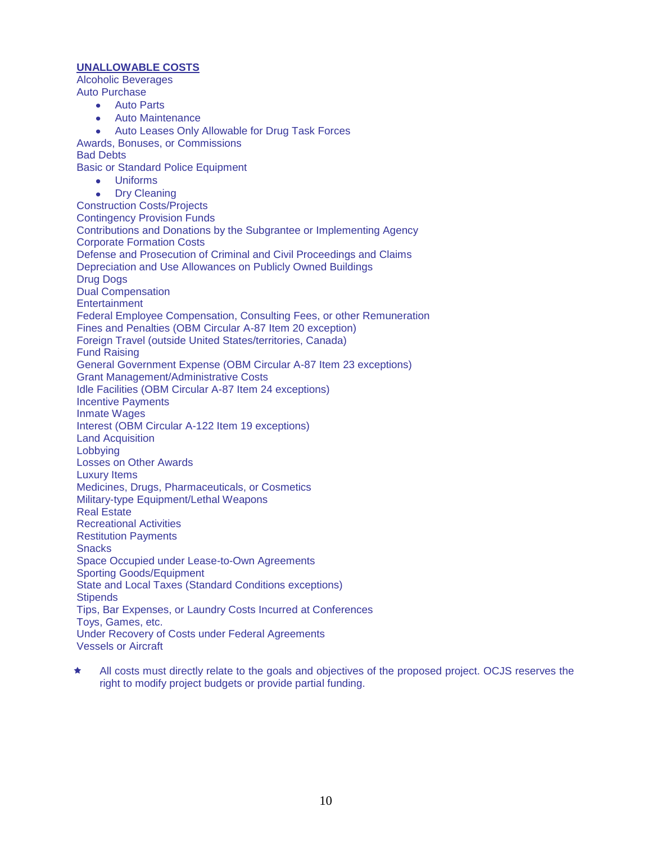## **UNALLOWABLE COSTS**

Alcoholic Beverages Auto Purchase

- Auto Parts
- Auto Maintenance
- Auto Leases Only Allowable for Drug Task Forces

Awards, Bonuses, or Commissions Bad Debts

Basic or Standard Police Equipment

Uniforms

Dry Cleaning  $\bullet$ Construction Costs/Projects Contingency Provision Funds Contributions and Donations by the Subgrantee or Implementing Agency Corporate Formation Costs Defense and Prosecution of Criminal and Civil Proceedings and Claims Depreciation and Use Allowances on Publicly Owned Buildings Drug Dogs Dual Compensation **Entertainment** Federal Employee Compensation, Consulting Fees, or other Remuneration Fines and Penalties (OBM Circular A-87 Item 20 exception) Foreign Travel (outside United States/territories, Canada) Fund Raising General Government Expense (OBM Circular A-87 Item 23 exceptions) Grant Management/Administrative Costs Idle Facilities (OBM Circular A-87 Item 24 exceptions) Incentive Payments Inmate Wages Interest (OBM Circular A-122 Item 19 exceptions) Land Acquisition Lobbying Losses on Other Awards Luxury Items Medicines, Drugs, Pharmaceuticals, or Cosmetics Military-type Equipment/Lethal Weapons Real Estate Recreational Activities Restitution Payments **Snacks** Space Occupied under Lease-to-Own Agreements Sporting Goods/Equipment State and Local Taxes (Standard Conditions exceptions) **Stipends** Tips, Bar Expenses, or Laundry Costs Incurred at Conferences Toys, Games, etc. Under Recovery of Costs under Federal Agreements Vessels or Aircraft

 All costs must directly relate to the goals and objectives of the proposed project. OCJS reserves the right to modify project budgets or provide partial funding.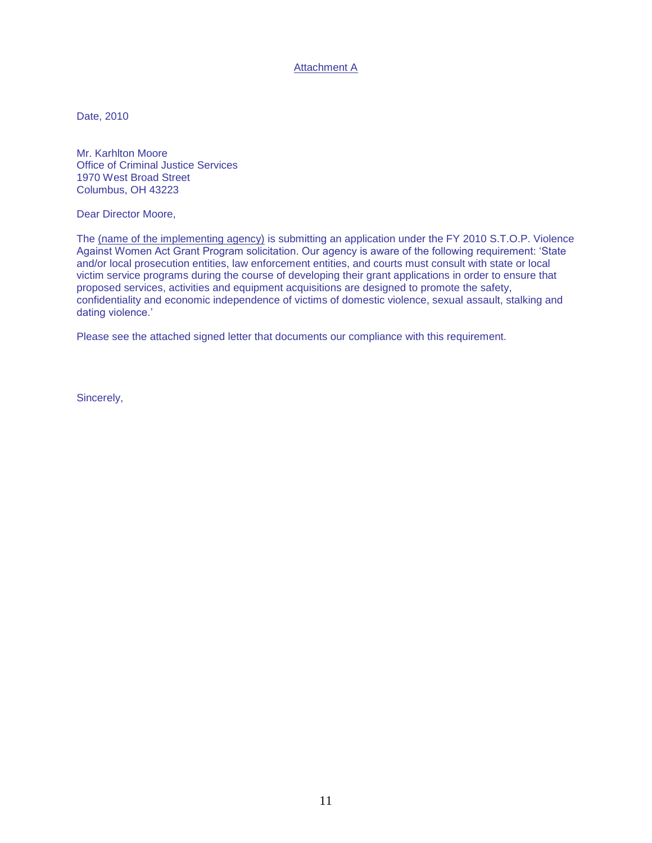Attachment A

Date, 2010

Mr. Karhlton Moore Office of Criminal Justice Services 1970 West Broad Street Columbus, OH 43223

Dear Director Moore,

The (name of the implementing agency) is submitting an application under the FY 2010 S.T.O.P. Violence Against Women Act Grant Program solicitation. Our agency is aware of the following requirement: 'State and/or local prosecution entities, law enforcement entities, and courts must consult with state or local victim service programs during the course of developing their grant applications in order to ensure that proposed services, activities and equipment acquisitions are designed to promote the safety, confidentiality and economic independence of victims of domestic violence, sexual assault, stalking and dating violence.'

Please see the attached signed letter that documents our compliance with this requirement.

Sincerely,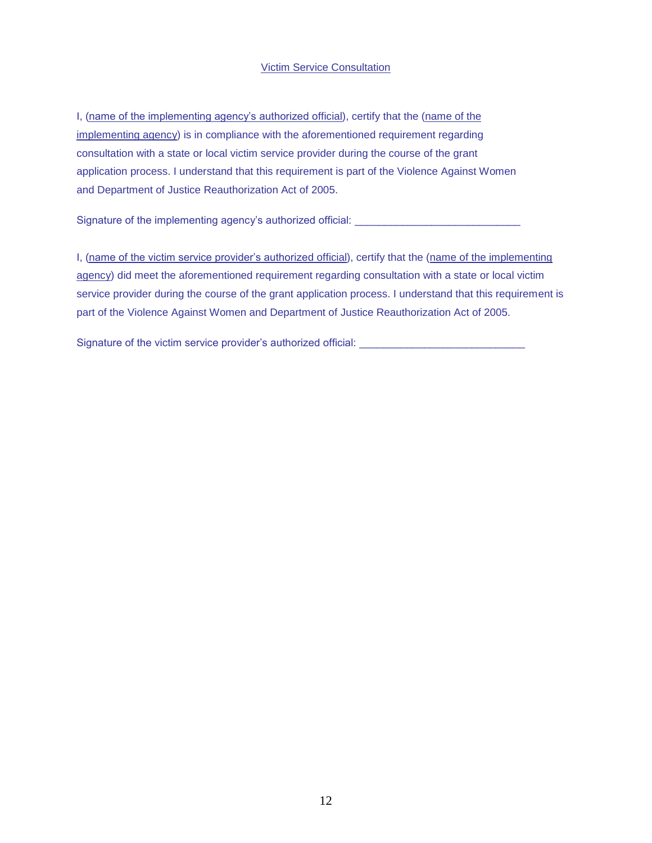## Victim Service Consultation

I, (name of the implementing agency's authorized official), certify that the (name of the implementing agency) is in compliance with the aforementioned requirement regarding consultation with a state or local victim service provider during the course of the grant application process. I understand that this requirement is part of the Violence Against Women and Department of Justice Reauthorization Act of 2005.

Signature of the implementing agency's authorized official: \_\_\_\_\_\_\_\_\_\_\_\_\_\_\_\_\_\_\_\_

I, (name of the victim service provider's authorized official), certify that the (name of the implementing agency) did meet the aforementioned requirement regarding consultation with a state or local victim service provider during the course of the grant application process. I understand that this requirement is part of the Violence Against Women and Department of Justice Reauthorization Act of 2005.

Signature of the victim service provider's authorized official: \_\_\_\_\_\_\_\_\_\_\_\_\_\_\_\_\_\_\_\_\_\_\_\_\_\_\_\_